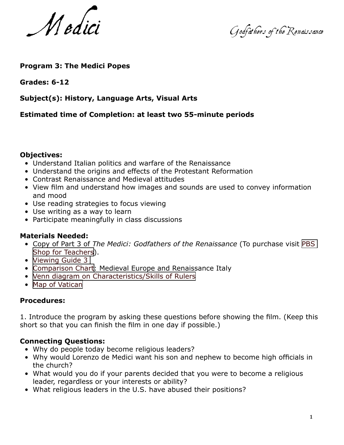Medici Godfathers of the Renaissance

## **Program 3: The Medici Popes**

#### **Grades: 6-12**

## **Subject(s): History, Language Arts, Visual Arts**

#### **Estimated time of Completion: at least two 55-minute periods**

#### **Objectives:**

- Understand Italian politics and warfare of the Renaissance
- Understand the origins and effects of the Protestant Reformation
- Contrast Renaissance and Medieval attitudes
- View film and understand how images and sounds are used to convey information and mood
- Use reading strategies to focus viewing
- Use writing as a way to learn
- Participate meaningfully in class discussions

#### **Materials Needed:**

- Copy of Part 3 of *The Medici: Godfathers of the Renaissance* (To purchase visit [PBS](http://teacher.shop.pbs.org/home/index.jsp)  [Shop for Teachers\)](http://teacher.shop.pbs.org/home/index.jsp).
- [Viewing Guide 3](http://dipsy.pbs.org/empires/medici/resources/docs/viewguide3.pdf)
- [Comparison Chart](http://dipsy.pbs.org/empires/medici/resources/docs/comparison.pdf): Medieval Europe and Renaissance Italy
- [Venn diagram on Characteristics/Skills of Rulers](http://dipsy.pbs.org/empires/medici/resources/docs/venn.pdf)
- [Map of Vatican](http://dipsy.pbs.org/empires/medici/resources/docs/map.pdf)

#### **Procedures:**

1. Introduce the program by asking these questions before showing the film. (Keep this short so that you can finish the film in one day if possible.)

## **Connecting Questions:**

- Why do people today become religious leaders?
- Why would Lorenzo de Medici want his son and nephew to become high officials in the church?
- What would you do if your parents decided that you were to become a religious leader, regardless or your interests or ability?
- What religious leaders in the U.S. have abused their positions?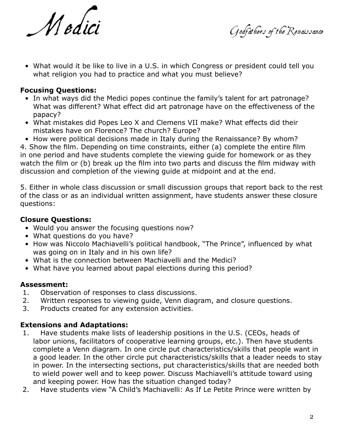Medici Godfathers of the Renaissance

• What would it be like to live in a U.S. in which Congress or president could tell you what religion you had to practice and what you must believe?

## **Focusing Questions:**

- In what ways did the Medici popes continue the family's talent for art patronage? What was different? What effect did art patronage have on the effectiveness of the papacy?
- What mistakes did Popes Leo X and Clemens VII make? What effects did their mistakes have on Florence? The church? Europe?
- How were political decisions made in Italy during the Renaissance? By whom?

4. Show the film. Depending on time constraints, either (a) complete the entire film in one period and have students complete the viewing guide for homework or as they watch the film or (b) break up the film into two parts and discuss the film midway with discussion and completion of the viewing guide at midpoint and at the end.

5. Either in whole class discussion or small discussion groups that report back to the rest of the class or as an individual written assignment, have students answer these closure questions:

# **Closure Questions:**

- Would you answer the focusing questions now?
- What questions do you have?
- How was Niccolo Machiavelli's political handbook, "The Prince", influenced by what was going on in Italy and in his own life?
- What is the connection between Machiavelli and the Medici?
- What have you learned about papal elections during this period?

## **Assessment:**

- 1. Observation of responses to class discussions.
- 2. Written responses to viewing guide, Venn diagram, and closure questions.
- 3. Products created for any extension activities.

# **Extensions and Adaptations:**

- 1. Have students make lists of leadership positions in the U.S. (CEOs, heads of labor unions, facilitators of cooperative learning groups, etc.). Then have students complete a Venn diagram. In one circle put characteristics/skills that people want in a good leader. In the other circle put characteristics/skills that a leader needs to stay in power. In the intersecting sections, put characteristics/skills that are needed both to wield power well and to keep power. Discuss Machiavelli's attitude toward using and keeping power. How has the situation changed today?
- 2. Have students view "A Child's Machiavelli: As If Le Petite Prince were written by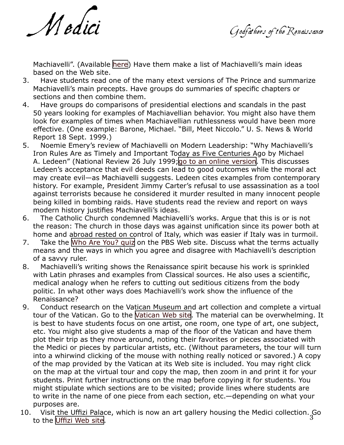Medici Godfathers of the Renaissance

Machiavelli". (Available [here\)](http://www.t0.or.at/ch/hart.htm) Have them make a list of Machiavelli's main ideas based on the Web site.

- 3. Have students read one of the many etext versions of The Prince and summarize Machiavelli's main precepts. Have groups do summaries of specific chapters or sections and then combine them.
- 4. Have groups do comparisons of presidential elections and scandals in the past 50 years looking for examples of Machiavellian behavior. You might also have them look for examples of times when Machiavellian ruthlessness would have been more effective. (One example: Barone, Michael. "Bill, Meet Niccolo." U. S. News & World Report 18 Sept. 1999.)
- 5. Noemie Emery's review of Machiavelli on Modern Leadership: "Why Machiavelli's Iron Rules Are as Timely and Important Today as Five Centuries Ago by Michael A. Ledeen" (National Review 26 July 1999;[go to an online version](http://www.findarticles.com/cf_0/m1282/14_50/55103661/p1/article.jhtml). This discusses Ledeen's acceptance that evil deeds can lead to good outcomes while the moral act may create evil—as Machiavelli suggests. Ledeen cites examples from contemporary history. For example, President Jimmy Carter's refusal to use assassination as a tool against terrorists because he considered it murder resulted in many innocent people being killed in bombing raids. Have students read the review and report on ways modern history justifies Machiavelli's ideas.
- 6. The Catholic Church condemned Machiavelli's works. Argue that this is or is not the reason: The church in those days was against unification since its power both at home and abroad rested on control of Italy, which was easier if Italy was in turmoil.
- 7. Take the [Who Are You? quiz](http://dipsy.pbs.org/empires/medici/medici/quiz.html) on the PBS Web site. Discuss what the terms actually means and the ways in which you agree and disagree with Machiavelli's description of a savvy ruler.
- 8. Machiavelli's writing shows the Renaissance spirit because his work is sprinkled with Latin phrases and examples from Classical sources. He also uses a scientific, medical analogy when he refers to cutting out seditious citizens from the body politic. In what other ways does Machiavelli's work show the influence of the Renaissance?
- 9. Conduct research on the Vatican Museum and art collection and complete a virtual tour of the Vatican. Go to the [Vatican Web site](http://mv.vatican.va/3_EN/pages/MV_Home.html). The material can be overwhelming. It is best to have students focus on one artist, one room, one type of art, one subject, etc. You might also give students a map of the floor of the Vatican and have them plot their trip as they move around, noting their favorites or pieces associated with the Medici or pieces by particular artists, etc. (Without parameters, the tour will turn into a whirwind clicking of the mouse with nothing really noticed or savored.) A copy of the map provided by the Vatican at its Web site is included. You may right click on the map at the virtual tour and copy the map, then zoom in and print it for your students. Print further instructions on the map before copying it for students. You might stipulate which sections are to be visited; provide lines where students are to write in the name of one piece from each section, etc.—depending on what your purposes are.
- 10. Visit the Uffizi Palace, which is now an art gallery housing the Medici collection. Go<br>to the Uffizi Web site to the [Uffizi Web site.](http://www.uffizi.firenze.it/)